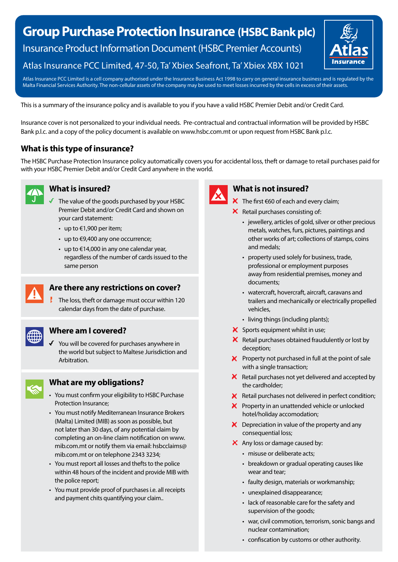# **Group Purchase Protection Insurance (HSBC Bank plc)** Insurance Product Information Document (HSBC Premier Accounts) Atlas Insurance PCC Limited, 47-50, Ta' Xbiex Seafront, Ta' Xbiex XBX 1021



Atlas Insurance PCC Limited is a cell company authorised under the Insurance Business Act 1998 to carry on general insurance business and is regulated by the Malta Financial Services Authority. The non-cellular assets of the company may be used to meet losses incurred by the cells in excess of their assets.

This is a summary of the insurance policy and is available to you if you have a valid HSBC Premier Debit and/or Credit Card.

Insurance cover is not personalized to your individual needs. Pre-contractual and contractual information will be provided by HSBC Bank p.l.c. and a copy of the policy document is available on www.hsbc.com.mt or upon request from HSBC Bank p.l.c.

# **What is this type of insurance?**

The HSBC Purchase Protection Insurance policy automatically covers you for accidental loss, theft or damage to retail purchases paid for with your HSBC Premier Debit and/or Credit Card anywhere in the world.



#### **What is insured?**

- The value of the goods purchased by your HSBC Premier Debit and/or Credit Card and shown on your card statement:
- up to €1,900 per item;
- up to  $€9,400$  any one occurrence;
- $\cdot$  up to €14,000 in any one calendar year, regardless of the number of cards issued to the same person



#### **Are there any restrictions on cover?**

The loss, theft or damage must occur within 120 calendar days from the date of purchase.

#### **Where am I covered?**

You will be covered for purchases anywhere in the world but subject to Maltese Jurisdiction and Arbitration.



### **What are my obligations?**

- You must confirm your eligibility to HSBC Purchase Protection Insurance;
- You must notify Mediterranean Insurance Brokers (Malta) Limited (MIB) as soon as possible, but not later than 30 days, of any potential claim by completing an on-line claim notification on www. mib.com.mt or notify them via email: hsbcclaims@ mib.com.mt or on telephone 2343 3234;
- You must report all losses and thefts to the police within 48 hours of the incident and provide MIB with the police report;
- You must provide proof of purchases i.e. all receipts and payment chits quantifying your claim..



### **What is not insured?**

- $\mathsf{\mathsf{X}}$  The first €60 of each and every claim;
- $\mathsf{\times}$  Retail purchases consisting of:
	- jewellery, articles of gold, silver or other precious metals, watches, furs, pictures, paintings and other works of art; collections of stamps, coins and medals;
	- property used solely for business, trade, professional or employment purposes away from residential premises, money and documents;
	- watercraft, hovercraft, aircraft, caravans and trailers and mechanically or electrically propelled vehicles,
	- living things (including plants);
- $\boldsymbol{\times}$  Sports equipment whilst in use;
- $\mathsf{\times}$  Retail purchases obtained fraudulently or lost by deception;
- $\mathsf{\times}$  Property not purchased in full at the point of sale with a single transaction;
- $\mathsf{\times}$  Retail purchases not yet delivered and accepted by the cardholder;
- $\mathsf{R}$  Retail purchases not delivered in perfect condition;
- $\mathsf{\times}$  Property in an unattended vehicle or unlocked hotel/holiday accomodation;
- $\mathsf{\times}$  Depreciation in value of the property and any consequential loss;
- $\mathsf{\times}$  Any loss or damage caused by:
	- misuse or deliberate acts;
	- breakdown or gradual operating causes like wear and tear;
	- faulty design, materials or workmanship;
	- unexplained disappearance;
	- lack of reasonable care for the safety and supervision of the goods;
	- war, civil commotion, terrorism, sonic bangs and nuclear contamination;
	- confiscation by customs or other authority.